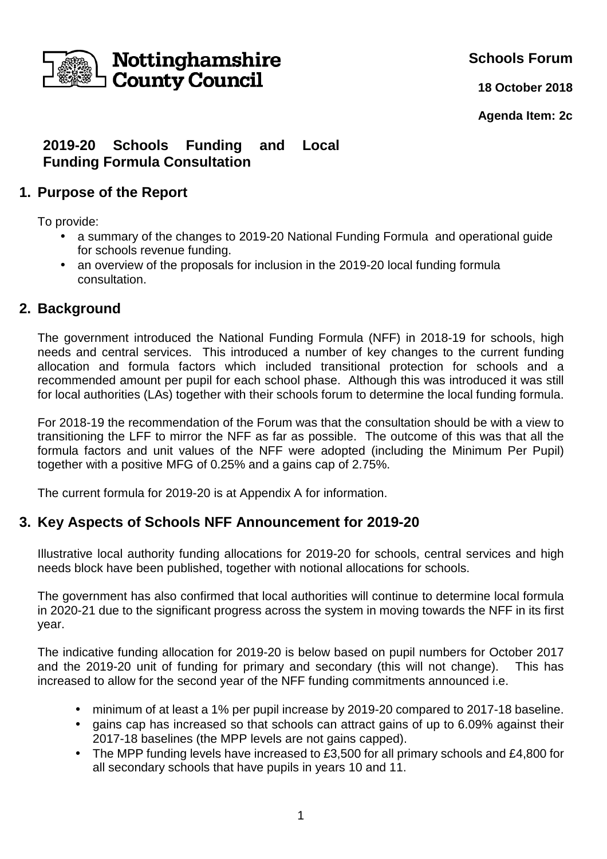

**Schools Forum**

**18 October 2018**

**Agenda Item: 2c**

## **2019-20 Schools Funding and Local Funding Formula Consultation**

### **1. Purpose of the Report**

To provide:

- a summary of the changes to 2019-20 National Funding Formula and operational guide for schools revenue funding.
- an overview of the proposals for inclusion in the 2019-20 local funding formula consultation.

## **2. Background**

The government introduced the National Funding Formula (NFF) in 2018-19 for schools, high needs and central services. This introduced a number of key changes to the current funding allocation and formula factors which included transitional protection for schools and a recommended amount per pupil for each school phase. Although this was introduced it was still for local authorities (LAs) together with their schools forum to determine the local funding formula.

For 2018-19 the recommendation of the Forum was that the consultation should be with a view to transitioning the LFF to mirror the NFF as far as possible. The outcome of this was that all the formula factors and unit values of the NFF were adopted (including the Minimum Per Pupil) together with a positive MFG of 0.25% and a gains cap of 2.75%.

The current formula for 2019-20 is at Appendix A for information.

### **3. Key Aspects of Schools NFF Announcement for 2019-20**

Illustrative local authority funding allocations for 2019-20 for schools, central services and high needs block have been published, together with notional allocations for schools.

The government has also confirmed that local authorities will continue to determine local formula in 2020-21 due to the significant progress across the system in moving towards the NFF in its first year.

The indicative funding allocation for 2019-20 is below based on pupil numbers for October 2017 and the 2019-20 unit of funding for primary and secondary (this will not change). This has increased to allow for the second year of the NFF funding commitments announced i.e.

- minimum of at least a 1% per pupil increase by 2019-20 compared to 2017-18 baseline.
- gains cap has increased so that schools can attract gains of up to 6.09% against their 2017-18 baselines (the MPP levels are not gains capped).
- The MPP funding levels have increased to £3,500 for all primary schools and £4,800 for all secondary schools that have pupils in years 10 and 11.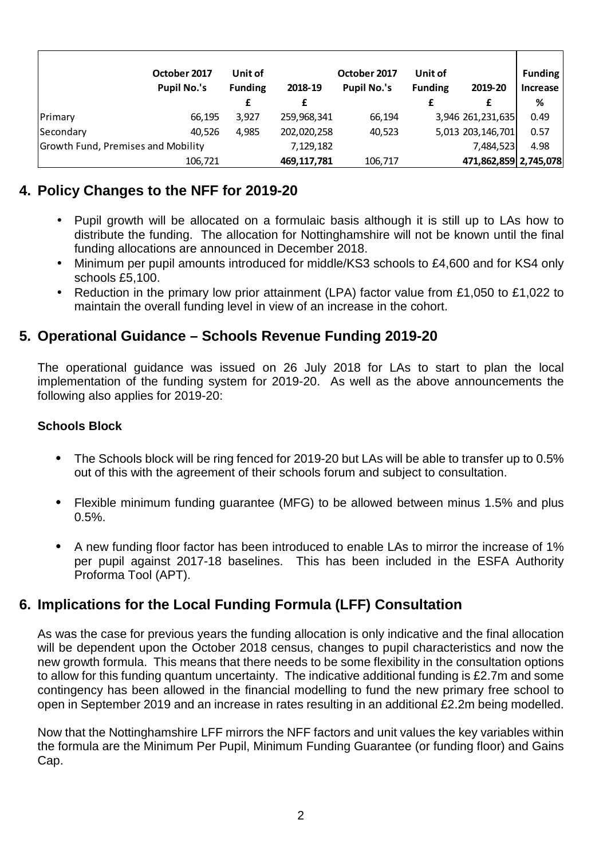|                                    | October 2017       | Unit of        |             | October 2017       | Unit of        |                       | <b>Funding</b>  |
|------------------------------------|--------------------|----------------|-------------|--------------------|----------------|-----------------------|-----------------|
|                                    | <b>Pupil No.'s</b> | <b>Funding</b> | 2018-19     | <b>Pupil No.'s</b> | <b>Funding</b> | 2019-20               | <b>Increase</b> |
|                                    |                    | £              | £           |                    |                | £                     | %               |
| Primary                            | 66,195             | 3,927          | 259,968,341 | 66,194             |                | 3,946 261,231,635     | 0.49            |
| Secondary                          | 40,526             | 4,985          | 202,020,258 | 40,523             |                | 5,013 203,146,701     | 0.57            |
| Growth Fund, Premises and Mobility |                    |                | 7,129,182   |                    |                | 7,484,523             | 4.98            |
|                                    | 106.721            |                | 469,117,781 | 106,717            |                | 471,862,859 2,745,078 |                 |

# **4. Policy Changes to the NFF for 2019-20**

- Pupil growth will be allocated on a formulaic basis although it is still up to LAs how to distribute the funding. The allocation for Nottinghamshire will not be known until the final funding allocations are announced in December 2018.
- Minimum per pupil amounts introduced for middle/KS3 schools to £4,600 and for KS4 only schools £5,100.
- Reduction in the primary low prior attainment (LPA) factor value from £1,050 to £1,022 to maintain the overall funding level in view of an increase in the cohort.

## **5. Operational Guidance – Schools Revenue Funding 2019-20**

The operational guidance was issued on 26 July 2018 for LAs to start to plan the local implementation of the funding system for 2019-20. As well as the above announcements the following also applies for 2019-20:

#### **Schools Block**

- The Schools block will be ring fenced for 2019-20 but LAs will be able to transfer up to 0.5% out of this with the agreement of their schools forum and subject to consultation.
- Flexible minimum funding guarantee (MFG) to be allowed between minus 1.5% and plus 0.5%.
- A new funding floor factor has been introduced to enable LAs to mirror the increase of 1% per pupil against 2017-18 baselines. This has been included in the ESFA Authority Proforma Tool (APT).

# **6. Implications for the Local Funding Formula (LFF) Consultation**

As was the case for previous years the funding allocation is only indicative and the final allocation will be dependent upon the October 2018 census, changes to pupil characteristics and now the new growth formula. This means that there needs to be some flexibility in the consultation options to allow for this funding quantum uncertainty. The indicative additional funding is £2.7m and some contingency has been allowed in the financial modelling to fund the new primary free school to open in September 2019 and an increase in rates resulting in an additional £2.2m being modelled.

Now that the Nottinghamshire LFF mirrors the NFF factors and unit values the key variables within the formula are the Minimum Per Pupil, Minimum Funding Guarantee (or funding floor) and Gains Cap.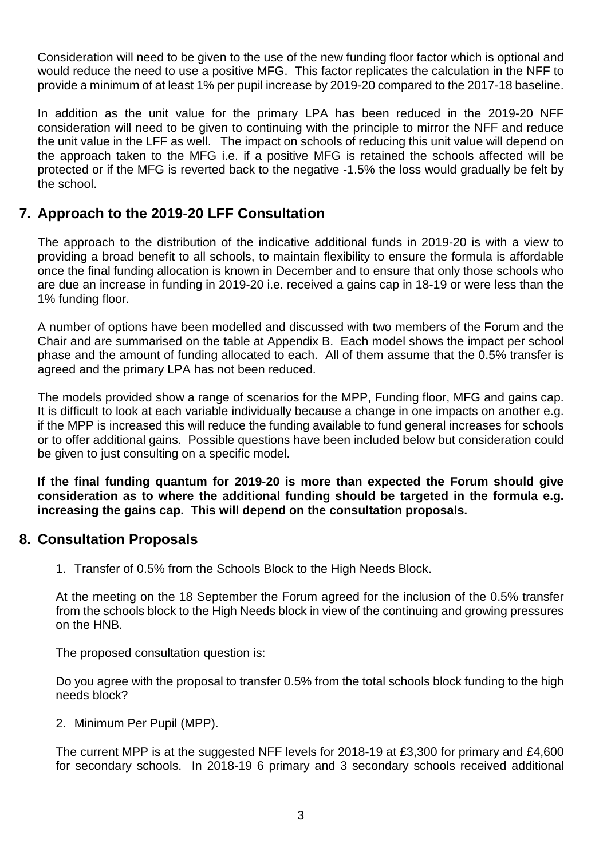Consideration will need to be given to the use of the new funding floor factor which is optional and would reduce the need to use a positive MFG. This factor replicates the calculation in the NFF to provide a minimum of at least 1% per pupil increase by 2019-20 compared to the 2017-18 baseline.

In addition as the unit value for the primary LPA has been reduced in the 2019-20 NFF consideration will need to be given to continuing with the principle to mirror the NFF and reduce the unit value in the LFF as well. The impact on schools of reducing this unit value will depend on the approach taken to the MFG i.e. if a positive MFG is retained the schools affected will be protected or if the MFG is reverted back to the negative -1.5% the loss would gradually be felt by the school.

## **7. Approach to the 2019-20 LFF Consultation**

The approach to the distribution of the indicative additional funds in 2019-20 is with a view to providing a broad benefit to all schools, to maintain flexibility to ensure the formula is affordable once the final funding allocation is known in December and to ensure that only those schools who are due an increase in funding in 2019-20 i.e. received a gains cap in 18-19 or were less than the 1% funding floor.

A number of options have been modelled and discussed with two members of the Forum and the Chair and are summarised on the table at Appendix B. Each model shows the impact per school phase and the amount of funding allocated to each. All of them assume that the 0.5% transfer is agreed and the primary LPA has not been reduced.

The models provided show a range of scenarios for the MPP, Funding floor, MFG and gains cap. It is difficult to look at each variable individually because a change in one impacts on another e.g. if the MPP is increased this will reduce the funding available to fund general increases for schools or to offer additional gains. Possible questions have been included below but consideration could be given to just consulting on a specific model.

**If the final funding quantum for 2019-20 is more than expected the Forum should give consideration as to where the additional funding should be targeted in the formula e.g. increasing the gains cap. This will depend on the consultation proposals.** 

### **8. Consultation Proposals**

1. Transfer of 0.5% from the Schools Block to the High Needs Block.

At the meeting on the 18 September the Forum agreed for the inclusion of the 0.5% transfer from the schools block to the High Needs block in view of the continuing and growing pressures on the HNB.

The proposed consultation question is:

Do you agree with the proposal to transfer 0.5% from the total schools block funding to the high needs block?

2. Minimum Per Pupil (MPP).

The current MPP is at the suggested NFF levels for 2018-19 at £3,300 for primary and £4,600 for secondary schools. In 2018-19 6 primary and 3 secondary schools received additional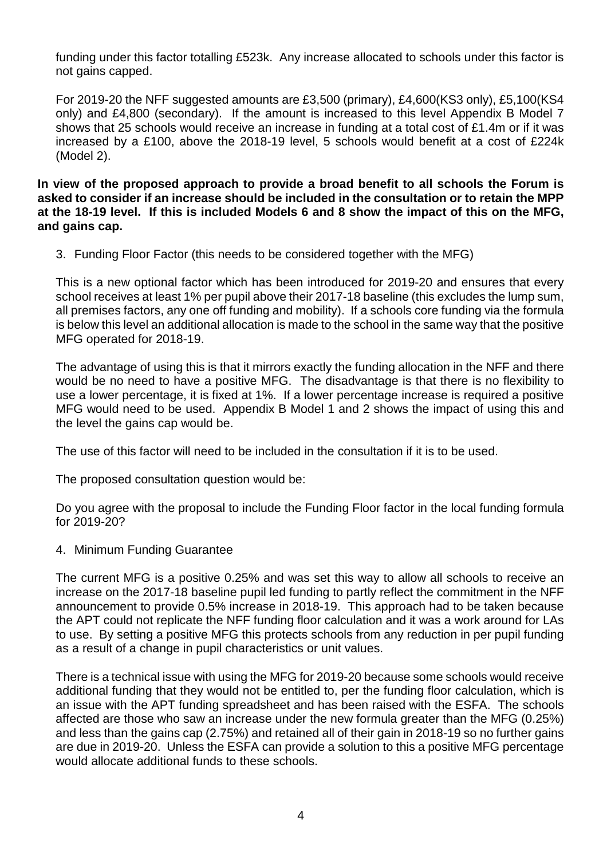funding under this factor totalling £523k. Any increase allocated to schools under this factor is not gains capped.

For 2019-20 the NFF suggested amounts are £3,500 (primary), £4,600(KS3 only), £5,100(KS4 only) and £4,800 (secondary). If the amount is increased to this level Appendix B Model 7 shows that 25 schools would receive an increase in funding at a total cost of £1.4m or if it was increased by a £100, above the 2018-19 level, 5 schools would benefit at a cost of £224k (Model 2).

**In view of the proposed approach to provide a broad benefit to all schools the Forum is asked to consider if an increase should be included in the consultation or to retain the MPP at the 18-19 level. If this is included Models 6 and 8 show the impact of this on the MFG, and gains cap.** 

3. Funding Floor Factor (this needs to be considered together with the MFG)

This is a new optional factor which has been introduced for 2019-20 and ensures that every school receives at least 1% per pupil above their 2017-18 baseline (this excludes the lump sum, all premises factors, any one off funding and mobility). If a schools core funding via the formula is below this level an additional allocation is made to the school in the same way that the positive MFG operated for 2018-19.

The advantage of using this is that it mirrors exactly the funding allocation in the NFF and there would be no need to have a positive MFG. The disadvantage is that there is no flexibility to use a lower percentage, it is fixed at 1%. If a lower percentage increase is required a positive MFG would need to be used. Appendix B Model 1 and 2 shows the impact of using this and the level the gains cap would be.

The use of this factor will need to be included in the consultation if it is to be used.

The proposed consultation question would be:

Do you agree with the proposal to include the Funding Floor factor in the local funding formula for 2019-20?

4. Minimum Funding Guarantee

The current MFG is a positive 0.25% and was set this way to allow all schools to receive an increase on the 2017-18 baseline pupil led funding to partly reflect the commitment in the NFF announcement to provide 0.5% increase in 2018-19. This approach had to be taken because the APT could not replicate the NFF funding floor calculation and it was a work around for LAs to use. By setting a positive MFG this protects schools from any reduction in per pupil funding as a result of a change in pupil characteristics or unit values.

There is a technical issue with using the MFG for 2019-20 because some schools would receive additional funding that they would not be entitled to, per the funding floor calculation, which is an issue with the APT funding spreadsheet and has been raised with the ESFA. The schools affected are those who saw an increase under the new formula greater than the MFG (0.25%) and less than the gains cap (2.75%) and retained all of their gain in 2018-19 so no further gains are due in 2019-20. Unless the ESFA can provide a solution to this a positive MFG percentage would allocate additional funds to these schools.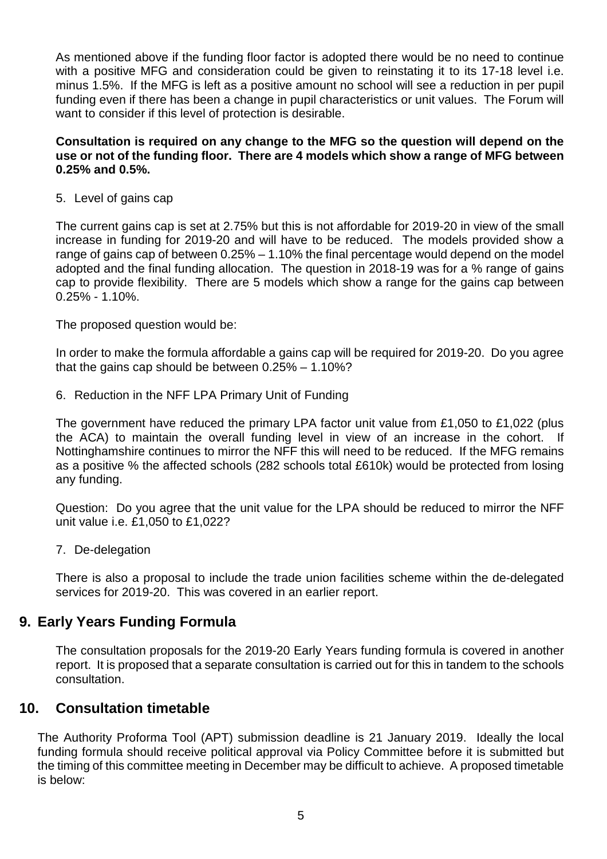As mentioned above if the funding floor factor is adopted there would be no need to continue with a positive MFG and consideration could be given to reinstating it to its 17-18 level i.e. minus 1.5%. If the MFG is left as a positive amount no school will see a reduction in per pupil funding even if there has been a change in pupil characteristics or unit values. The Forum will want to consider if this level of protection is desirable.

#### **Consultation is required on any change to the MFG so the question will depend on the use or not of the funding floor. There are 4 models which show a range of MFG between 0.25% and 0.5%.**

5. Level of gains cap

The current gains cap is set at 2.75% but this is not affordable for 2019-20 in view of the small increase in funding for 2019-20 and will have to be reduced. The models provided show a range of gains cap of between 0.25% – 1.10% the final percentage would depend on the model adopted and the final funding allocation. The question in 2018-19 was for a % range of gains cap to provide flexibility. There are 5 models which show a range for the gains cap between 0.25% - 1.10%.

The proposed question would be:

In order to make the formula affordable a gains cap will be required for 2019-20. Do you agree that the gains cap should be between 0.25% – 1.10%?

6. Reduction in the NFF LPA Primary Unit of Funding

The government have reduced the primary LPA factor unit value from £1,050 to £1,022 (plus the ACA) to maintain the overall funding level in view of an increase in the cohort. If Nottinghamshire continues to mirror the NFF this will need to be reduced. If the MFG remains as a positive % the affected schools (282 schools total £610k) would be protected from losing any funding.

Question: Do you agree that the unit value for the LPA should be reduced to mirror the NFF unit value i.e. £1,050 to £1,022?

7. De-delegation

There is also a proposal to include the trade union facilities scheme within the de-delegated services for 2019-20. This was covered in an earlier report.

### **9. Early Years Funding Formula**

The consultation proposals for the 2019-20 Early Years funding formula is covered in another report. It is proposed that a separate consultation is carried out for this in tandem to the schools consultation.

#### **10. Consultation timetable**

The Authority Proforma Tool (APT) submission deadline is 21 January 2019. Ideally the local funding formula should receive political approval via Policy Committee before it is submitted but the timing of this committee meeting in December may be difficult to achieve. A proposed timetable is below: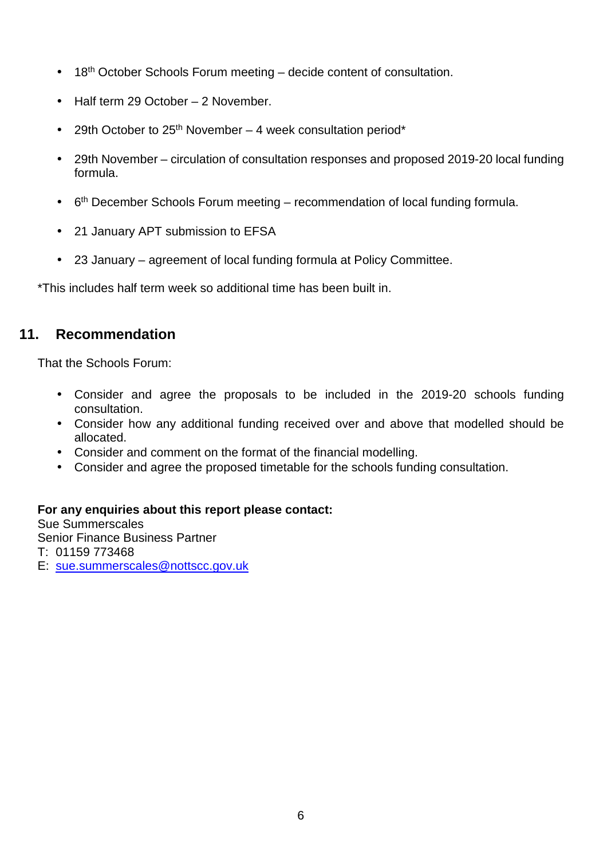- 18<sup>th</sup> October Schools Forum meeting decide content of consultation.
- Half term 29 October 2 November.
- 29th October to  $25<sup>th</sup>$  November 4 week consultation period\*
- 29th November circulation of consultation responses and proposed 2019-20 local funding formula.
- $\bullet$  6<sup>th</sup> December Schools Forum meeting recommendation of local funding formula.
- 21 January APT submission to EFSA
- 23 January agreement of local funding formula at Policy Committee.

\*This includes half term week so additional time has been built in.

### **11. Recommendation**

That the Schools Forum:

- Consider and agree the proposals to be included in the 2019-20 schools funding consultation.
- Consider how any additional funding received over and above that modelled should be allocated.
- Consider and comment on the format of the financial modelling.
- Consider and agree the proposed timetable for the schools funding consultation.

#### **For any enquiries about this report please contact:**

Sue Summerscales Senior Finance Business Partner T: 01159 773468 E: sue.summerscales@nottscc.gov.uk